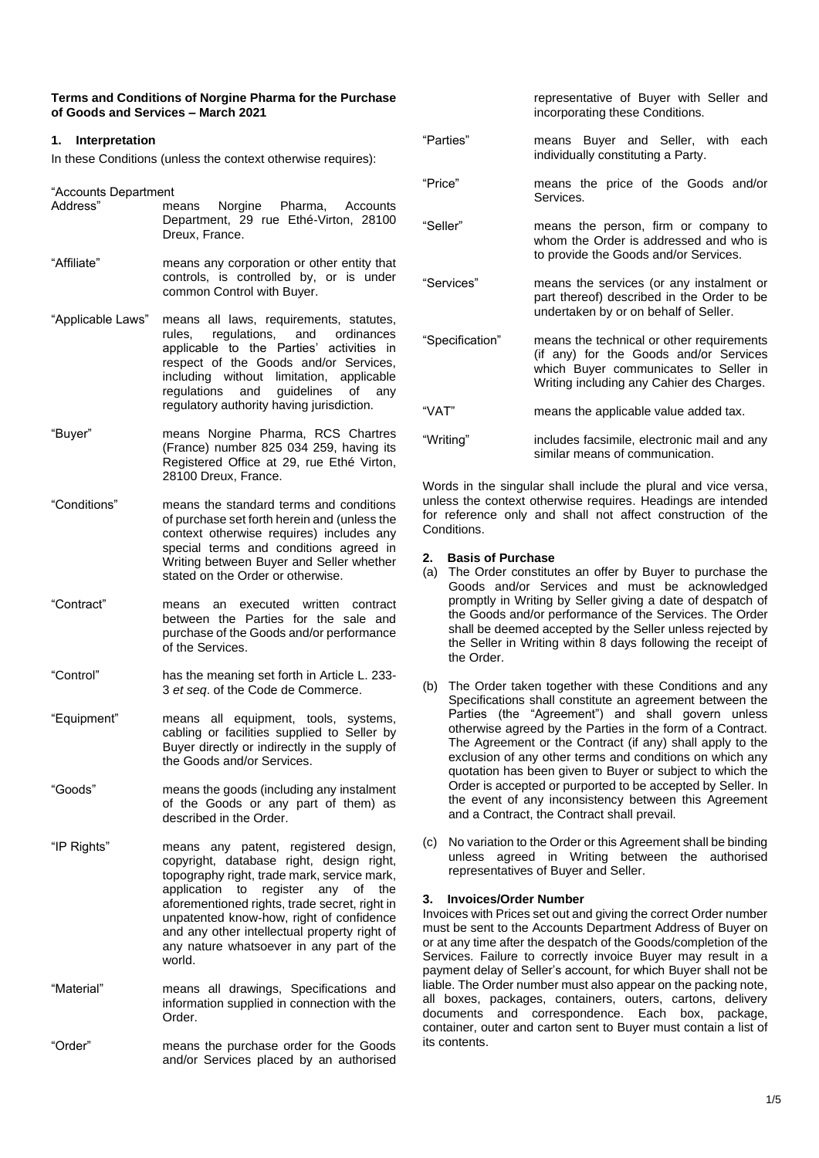### **Terms and Conditions of Norgine Pharma for the Purchase of Goods and Services – March 2021**

# **1. Interpretation**

In these Conditions (unless the context otherwise requires):

"Accounts Department

- means Norgine Pharma, Accounts Department, 29 rue Ethé-Virton, 28100 Dreux, France.
- "Affiliate" means any corporation or other entity that controls, is controlled by, or is under common Control with Buyer.
- "Applicable Laws" means all laws, requirements, statutes, rules, regulations, and ordinances applicable to the Parties' activities in respect of the Goods and/or Services, including without limitation, applicable<br>requilations and quidelines of any guidelines of any regulatory authority having jurisdiction.
- "Buyer" means Norgine Pharma, RCS Chartres (France) number 825 034 259, having its Registered Office at 29, rue Ethé Virton, 28100 Dreux, France.
- "Conditions" means the standard terms and conditions of purchase set forth herein and (unless the context otherwise requires) includes any special terms and conditions agreed in Writing between Buyer and Seller whether stated on the Order or otherwise.
- "Contract" means an executed written contract between the Parties for the sale and purchase of the Goods and/or performance of the Services.
- "Control" has the meaning set forth in Article L. 233- 3 *et seq*. of the Code de Commerce.
- "Equipment" means all equipment, tools, systems, cabling or facilities supplied to Seller by Buyer directly or indirectly in the supply of the Goods and/or Services.
- "Goods" means the goods (including any instalment of the Goods or any part of them) as described in the Order.
- "IP Rights" means any patent, registered design, copyright, database right, design right, topography right, trade mark, service mark, application to register any of the aforementioned rights, trade secret, right in unpatented know-how, right of confidence and any other intellectual property right of any nature whatsoever in any part of the world.
- "Material" means all drawings, Specifications and information supplied in connection with the Order.
- "Order" means the purchase order for the Goods and/or Services placed by an authorised

| "Parties"       | means Buyer and Seller, with each<br>individually constituting a Party.                                                                                                   |
|-----------------|---------------------------------------------------------------------------------------------------------------------------------------------------------------------------|
| "Price"         | means the price of the Goods and/or<br>Services.                                                                                                                          |
| "Seller"        | means the person, firm or company to<br>whom the Order is addressed and who is<br>to provide the Goods and/or Services.                                                   |
| "Services"      | means the services (or any instalment or<br>part thereof) described in the Order to be<br>undertaken by or on behalf of Seller.                                           |
| "Specification" | means the technical or other requirements<br>(if any) for the Goods and/or Services<br>which Buyer communicates to Seller in<br>Writing including any Cahier des Charges. |
| "VAT"           | means the applicable value added tax.                                                                                                                                     |
| "Writing"       | includes facsimile, electronic mail and any                                                                                                                               |

representative of Buyer with Seller and

incorporating these Conditions.

Words in the singular shall include the plural and vice versa, unless the context otherwise requires. Headings are intended for reference only and shall not affect construction of the Conditions.

similar means of communication.

### **2. Basis of Purchase**

- (a) The Order constitutes an offer by Buyer to purchase the Goods and/or Services and must be acknowledged promptly in Writing by Seller giving a date of despatch of the Goods and/or performance of the Services. The Order shall be deemed accepted by the Seller unless rejected by the Seller in Writing within 8 days following the receipt of the Order.
- (b) The Order taken together with these Conditions and any Specifications shall constitute an agreement between the Parties (the "Agreement") and shall govern unless otherwise agreed by the Parties in the form of a Contract. The Agreement or the Contract (if any) shall apply to the exclusion of any other terms and conditions on which any quotation has been given to Buyer or subject to which the Order is accepted or purported to be accepted by Seller. In the event of any inconsistency between this Agreement and a Contract, the Contract shall prevail.
- (c) No variation to the Order or this Agreement shall be binding unless agreed in Writing between the authorised representatives of Buyer and Seller.

# **3. Invoices/Order Number**

Invoices with Prices set out and giving the correct Order number must be sent to the Accounts Department Address of Buyer on or at any time after the despatch of the Goods/completion of the Services. Failure to correctly invoice Buyer may result in a payment delay of Seller's account, for which Buyer shall not be liable. The Order number must also appear on the packing note, all boxes, packages, containers, outers, cartons, delivery documents and correspondence. Each box, package, container, outer and carton sent to Buyer must contain a list of its contents.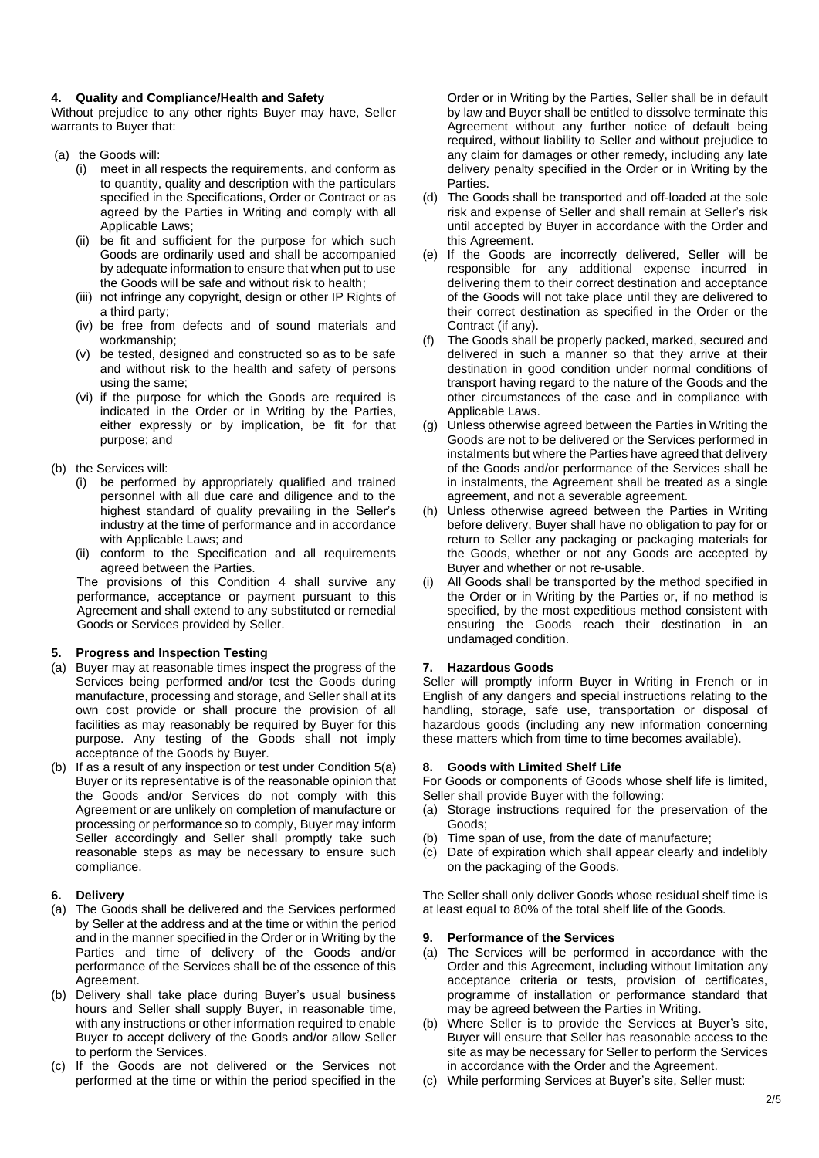### **4. Quality and Compliance/Health and Safety**

Without prejudice to any other rights Buyer may have, Seller warrants to Buyer that:

- (a) the Goods will:
	- (i) meet in all respects the requirements, and conform as to quantity, quality and description with the particulars specified in the Specifications, Order or Contract or as agreed by the Parties in Writing and comply with all Applicable Laws;
	- (ii) be fit and sufficient for the purpose for which such Goods are ordinarily used and shall be accompanied by adequate information to ensure that when put to use the Goods will be safe and without risk to health;
	- (iii) not infringe any copyright, design or other IP Rights of a third party;
	- (iv) be free from defects and of sound materials and workmanship;
	- (v) be tested, designed and constructed so as to be safe and without risk to the health and safety of persons using the same;
	- (vi) if the purpose for which the Goods are required is indicated in the Order or in Writing by the Parties, either expressly or by implication, be fit for that purpose; and

# (b) the Services will:

- (i) be performed by appropriately qualified and trained personnel with all due care and diligence and to the highest standard of quality prevailing in the Seller's industry at the time of performance and in accordance with Applicable Laws; and
- (ii) conform to the Specification and all requirements agreed between the Parties.

The provisions of this Condition 4 shall survive any performance, acceptance or payment pursuant to this Agreement and shall extend to any substituted or remedial Goods or Services provided by Seller.

# **5. Progress and Inspection Testing**

- (a) Buyer may at reasonable times inspect the progress of the Services being performed and/or test the Goods during manufacture, processing and storage, and Seller shall at its own cost provide or shall procure the provision of all facilities as may reasonably be required by Buyer for this purpose. Any testing of the Goods shall not imply acceptance of the Goods by Buyer.
- (b) If as a result of any inspection or test under Condition 5(a) Buyer or its representative is of the reasonable opinion that the Goods and/or Services do not comply with this Agreement or are unlikely on completion of manufacture or processing or performance so to comply, Buyer may inform Seller accordingly and Seller shall promptly take such reasonable steps as may be necessary to ensure such compliance.

# **6. Delivery**

- (a) The Goods shall be delivered and the Services performed by Seller at the address and at the time or within the period and in the manner specified in the Order or in Writing by the Parties and time of delivery of the Goods and/or performance of the Services shall be of the essence of this Agreement.
- (b) Delivery shall take place during Buyer's usual business hours and Seller shall supply Buyer, in reasonable time, with any instructions or other information required to enable Buyer to accept delivery of the Goods and/or allow Seller to perform the Services.
- (c) If the Goods are not delivered or the Services not performed at the time or within the period specified in the

Order or in Writing by the Parties, Seller shall be in default by law and Buyer shall be entitled to dissolve terminate this Agreement without any further notice of default being required, without liability to Seller and without prejudice to any claim for damages or other remedy, including any late delivery penalty specified in the Order or in Writing by the Parties.

- (d) The Goods shall be transported and off-loaded at the sole risk and expense of Seller and shall remain at Seller's risk until accepted by Buyer in accordance with the Order and this Agreement.
- (e) If the Goods are incorrectly delivered, Seller will be responsible for any additional expense incurred in delivering them to their correct destination and acceptance of the Goods will not take place until they are delivered to their correct destination as specified in the Order or the Contract (if any).
- (f) The Goods shall be properly packed, marked, secured and delivered in such a manner so that they arrive at their destination in good condition under normal conditions of transport having regard to the nature of the Goods and the other circumstances of the case and in compliance with Applicable Laws.
- (g) Unless otherwise agreed between the Parties in Writing the Goods are not to be delivered or the Services performed in instalments but where the Parties have agreed that delivery of the Goods and/or performance of the Services shall be in instalments, the Agreement shall be treated as a single agreement, and not a severable agreement.
- (h) Unless otherwise agreed between the Parties in Writing before delivery, Buyer shall have no obligation to pay for or return to Seller any packaging or packaging materials for the Goods, whether or not any Goods are accepted by Buyer and whether or not re-usable.
- All Goods shall be transported by the method specified in the Order or in Writing by the Parties or, if no method is specified, by the most expeditious method consistent with ensuring the Goods reach their destination in an undamaged condition.

# **7. Hazardous Goods**

Seller will promptly inform Buyer in Writing in French or in English of any dangers and special instructions relating to the handling, storage, safe use, transportation or disposal of hazardous goods (including any new information concerning these matters which from time to time becomes available).

# **8. Goods with Limited Shelf Life**

For Goods or components of Goods whose shelf life is limited, Seller shall provide Buyer with the following:

- (a) Storage instructions required for the preservation of the Goods;
- (b) Time span of use, from the date of manufacture;
- (c) Date of expiration which shall appear clearly and indelibly on the packaging of the Goods.

The Seller shall only deliver Goods whose residual shelf time is at least equal to 80% of the total shelf life of the Goods.

### **9. Performance of the Services**

- (a) The Services will be performed in accordance with the Order and this Agreement, including without limitation any acceptance criteria or tests, provision of certificates, programme of installation or performance standard that may be agreed between the Parties in Writing.
- (b) Where Seller is to provide the Services at Buyer's site, Buyer will ensure that Seller has reasonable access to the site as may be necessary for Seller to perform the Services in accordance with the Order and the Agreement.
- (c) While performing Services at Buyer's site, Seller must: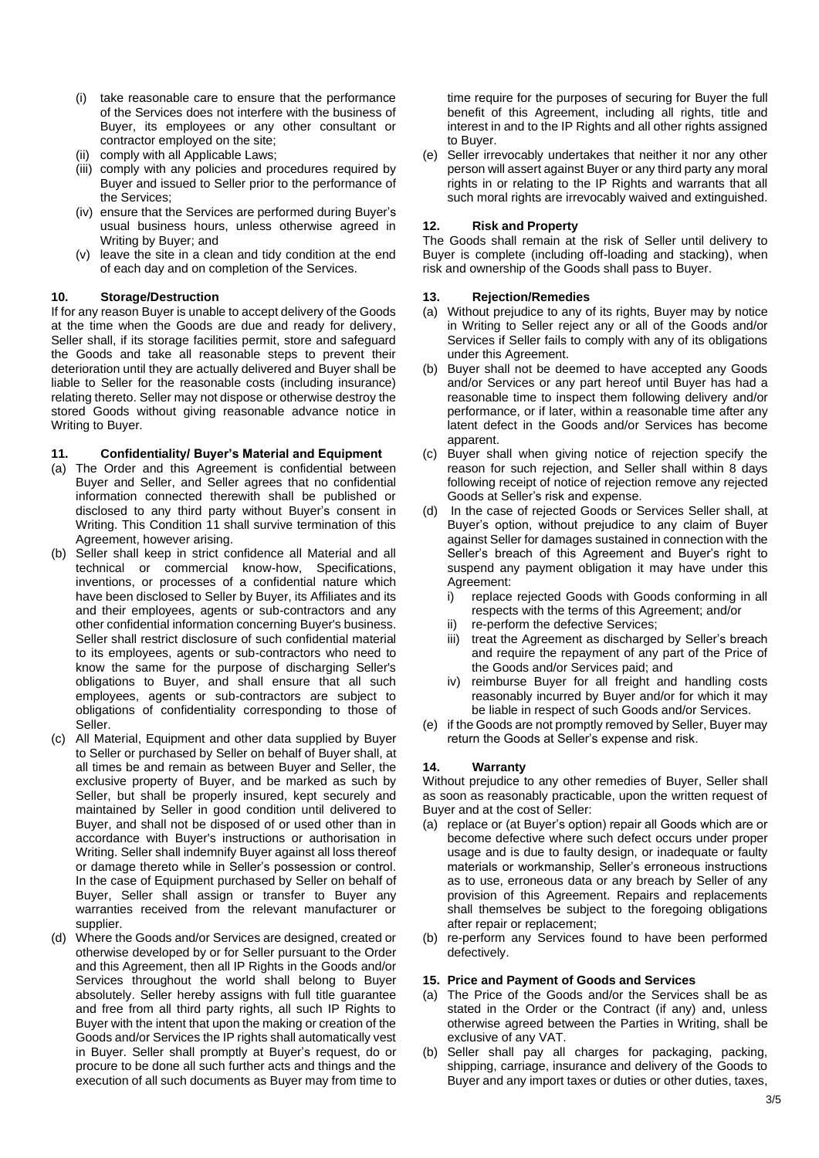- (i) take reasonable care to ensure that the performance of the Services does not interfere with the business of Buyer, its employees or any other consultant or contractor employed on the site;
- (ii) comply with all Applicable Laws;
- (iii) comply with any policies and procedures required by Buyer and issued to Seller prior to the performance of the Services;
- (iv) ensure that the Services are performed during Buyer's usual business hours, unless otherwise agreed in Writing by Buyer; and
- (v) leave the site in a clean and tidy condition at the end of each day and on completion of the Services.

# **10. Storage/Destruction**

If for any reason Buyer is unable to accept delivery of the Goods at the time when the Goods are due and ready for delivery, Seller shall, if its storage facilities permit, store and safeguard the Goods and take all reasonable steps to prevent their deterioration until they are actually delivered and Buyer shall be liable to Seller for the reasonable costs (including insurance) relating thereto. Seller may not dispose or otherwise destroy the stored Goods without giving reasonable advance notice in Writing to Buyer.

# **11. Confidentiality/ Buyer's Material and Equipment**

- (a) The Order and this Agreement is confidential between Buyer and Seller, and Seller agrees that no confidential information connected therewith shall be published or disclosed to any third party without Buyer's consent in Writing. This Condition 11 shall survive termination of this Agreement, however arising.
- (b) Seller shall keep in strict confidence all Material and all technical or commercial know-how, Specifications, inventions, or processes of a confidential nature which have been disclosed to Seller by Buyer, its Affiliates and its and their employees, agents or sub-contractors and any other confidential information concerning Buyer's business. Seller shall restrict disclosure of such confidential material to its employees, agents or sub-contractors who need to know the same for the purpose of discharging Seller's obligations to Buyer, and shall ensure that all such employees, agents or sub-contractors are subject to obligations of confidentiality corresponding to those of Seller.
- (c) All Material, Equipment and other data supplied by Buyer to Seller or purchased by Seller on behalf of Buyer shall, at all times be and remain as between Buyer and Seller, the exclusive property of Buyer, and be marked as such by Seller, but shall be properly insured, kept securely and maintained by Seller in good condition until delivered to Buyer, and shall not be disposed of or used other than in accordance with Buyer's instructions or authorisation in Writing. Seller shall indemnify Buyer against all loss thereof or damage thereto while in Seller's possession or control. In the case of Equipment purchased by Seller on behalf of Buyer, Seller shall assign or transfer to Buyer any warranties received from the relevant manufacturer or supplier.
- (d) Where the Goods and/or Services are designed, created or otherwise developed by or for Seller pursuant to the Order and this Agreement, then all IP Rights in the Goods and/or Services throughout the world shall belong to Buyer absolutely. Seller hereby assigns with full title guarantee and free from all third party rights, all such IP Rights to Buyer with the intent that upon the making or creation of the Goods and/or Services the IP rights shall automatically vest in Buyer. Seller shall promptly at Buyer's request, do or procure to be done all such further acts and things and the execution of all such documents as Buyer may from time to

time require for the purposes of securing for Buyer the full benefit of this Agreement, including all rights, title and interest in and to the IP Rights and all other rights assigned to Buyer.

(e) Seller irrevocably undertakes that neither it nor any other person will assert against Buyer or any third party any moral rights in or relating to the IP Rights and warrants that all such moral rights are irrevocably waived and extinguished.

# **12. Risk and Property**

The Goods shall remain at the risk of Seller until delivery to Buyer is complete (including off-loading and stacking), when risk and ownership of the Goods shall pass to Buyer.

# **13. Rejection/Remedies**

- (a) Without prejudice to any of its rights, Buyer may by notice in Writing to Seller reject any or all of the Goods and/or Services if Seller fails to comply with any of its obligations under this Agreement.
- (b) Buyer shall not be deemed to have accepted any Goods and/or Services or any part hereof until Buyer has had a reasonable time to inspect them following delivery and/or performance, or if later, within a reasonable time after any latent defect in the Goods and/or Services has become apparent.
- (c) Buyer shall when giving notice of rejection specify the reason for such rejection, and Seller shall within 8 days following receipt of notice of rejection remove any rejected Goods at Seller's risk and expense.
- (d) In the case of rejected Goods or Services Seller shall, at Buyer's option, without prejudice to any claim of Buyer against Seller for damages sustained in connection with the Seller's breach of this Agreement and Buyer's right to suspend any payment obligation it may have under this Agreement:
	- i) replace rejected Goods with Goods conforming in all respects with the terms of this Agreement; and/or
	- re-perform the defective Services;
	- iii) treat the Agreement as discharged by Seller's breach and require the repayment of any part of the Price of the Goods and/or Services paid; and
	- iv) reimburse Buyer for all freight and handling costs reasonably incurred by Buyer and/or for which it may be liable in respect of such Goods and/or Services.
- (e) if the Goods are not promptly removed by Seller, Buyer may return the Goods at Seller's expense and risk.

# **14. Warranty**

Without prejudice to any other remedies of Buyer, Seller shall as soon as reasonably practicable, upon the written request of Buyer and at the cost of Seller:

- (a) replace or (at Buyer's option) repair all Goods which are or become defective where such defect occurs under proper usage and is due to faulty design, or inadequate or faulty materials or workmanship, Seller's erroneous instructions as to use, erroneous data or any breach by Seller of any provision of this Agreement. Repairs and replacements shall themselves be subject to the foregoing obligations after repair or replacement;
- (b) re-perform any Services found to have been performed defectively.

### **15. Price and Payment of Goods and Services**

- (a) The Price of the Goods and/or the Services shall be as stated in the Order or the Contract (if any) and, unless otherwise agreed between the Parties in Writing, shall be exclusive of any VAT.
- (b) Seller shall pay all charges for packaging, packing, shipping, carriage, insurance and delivery of the Goods to Buyer and any import taxes or duties or other duties, taxes,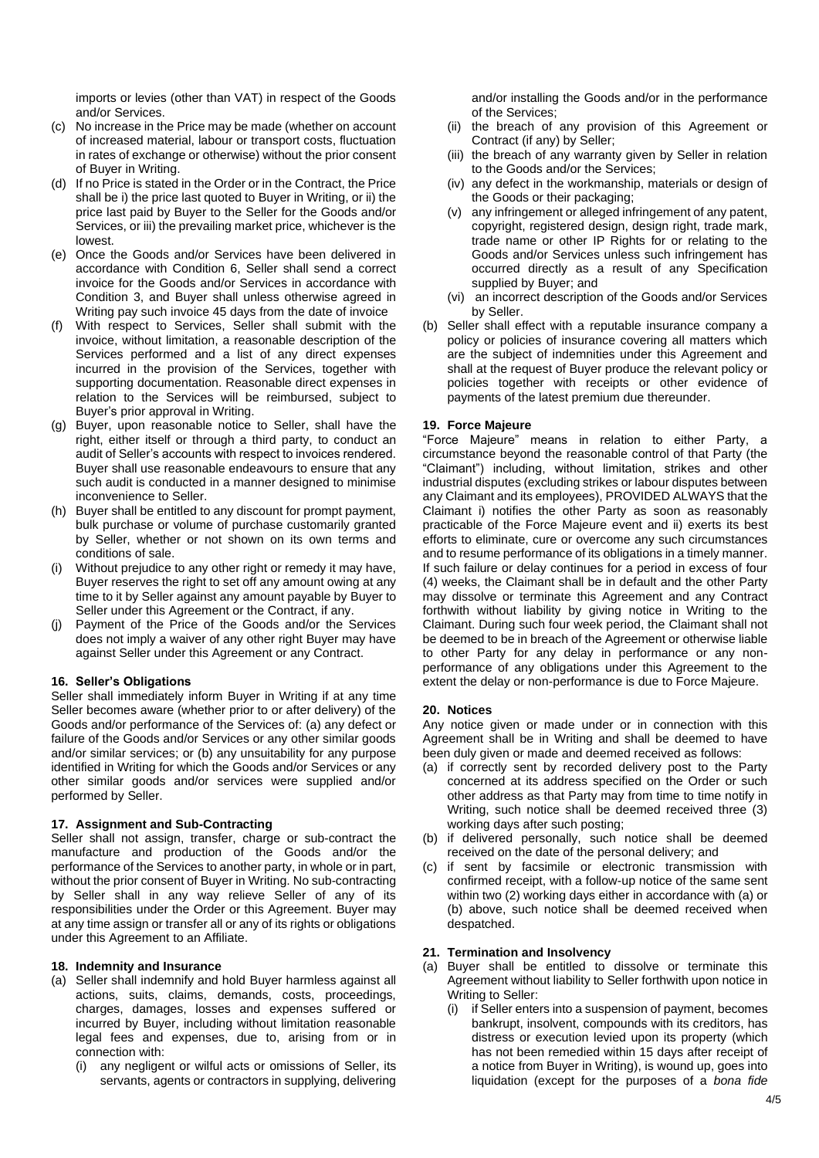imports or levies (other than VAT) in respect of the Goods and/or Services.

- (c) No increase in the Price may be made (whether on account of increased material, labour or transport costs, fluctuation in rates of exchange or otherwise) without the prior consent of Buyer in Writing.
- (d) If no Price is stated in the Order or in the Contract, the Price shall be i) the price last quoted to Buyer in Writing, or ii) the price last paid by Buyer to the Seller for the Goods and/or Services, or iii) the prevailing market price, whichever is the lowest.
- (e) Once the Goods and/or Services have been delivered in accordance with Condition 6, Seller shall send a correct invoice for the Goods and/or Services in accordance with Condition 3, and Buyer shall unless otherwise agreed in Writing pay such invoice 45 days from the date of invoice
- (f) With respect to Services, Seller shall submit with the invoice, without limitation, a reasonable description of the Services performed and a list of any direct expenses incurred in the provision of the Services, together with supporting documentation. Reasonable direct expenses in relation to the Services will be reimbursed, subject to Buyer's prior approval in Writing.
- (g) Buyer, upon reasonable notice to Seller, shall have the right, either itself or through a third party, to conduct an audit of Seller's accounts with respect to invoices rendered. Buyer shall use reasonable endeavours to ensure that any such audit is conducted in a manner designed to minimise inconvenience to Seller.
- (h) Buyer shall be entitled to any discount for prompt payment, bulk purchase or volume of purchase customarily granted by Seller, whether or not shown on its own terms and conditions of sale.
- (i) Without prejudice to any other right or remedy it may have, Buyer reserves the right to set off any amount owing at any time to it by Seller against any amount payable by Buyer to Seller under this Agreement or the Contract, if any.
- (j) Payment of the Price of the Goods and/or the Services does not imply a waiver of any other right Buyer may have against Seller under this Agreement or any Contract.

### **16. Seller's Obligations**

Seller shall immediately inform Buyer in Writing if at any time Seller becomes aware (whether prior to or after delivery) of the Goods and/or performance of the Services of: (a) any defect or failure of the Goods and/or Services or any other similar goods and/or similar services; or (b) any unsuitability for any purpose identified in Writing for which the Goods and/or Services or any other similar goods and/or services were supplied and/or performed by Seller.

### **17. Assignment and Sub-Contracting**

Seller shall not assign, transfer, charge or sub-contract the manufacture and production of the Goods and/or the performance of the Services to another party, in whole or in part, without the prior consent of Buyer in Writing. No sub-contracting by Seller shall in any way relieve Seller of any of its responsibilities under the Order or this Agreement. Buyer may at any time assign or transfer all or any of its rights or obligations under this Agreement to an Affiliate.

#### **18. Indemnity and Insurance**

- (a) Seller shall indemnify and hold Buyer harmless against all actions, suits, claims, demands, costs, proceedings, charges, damages, losses and expenses suffered or incurred by Buyer, including without limitation reasonable legal fees and expenses, due to, arising from or in connection with:
	- (i) any negligent or wilful acts or omissions of Seller, its servants, agents or contractors in supplying, delivering

and/or installing the Goods and/or in the performance of the Services;

- (ii) the breach of any provision of this Agreement or Contract (if any) by Seller;
- (iii) the breach of any warranty given by Seller in relation to the Goods and/or the Services;
- (iv) any defect in the workmanship, materials or design of the Goods or their packaging;
- (v) any infringement or alleged infringement of any patent, copyright, registered design, design right, trade mark, trade name or other IP Rights for or relating to the Goods and/or Services unless such infringement has occurred directly as a result of any Specification supplied by Buyer; and
- (vi) an incorrect description of the Goods and/or Services by Seller.
- (b) Seller shall effect with a reputable insurance company a policy or policies of insurance covering all matters which are the subject of indemnities under this Agreement and shall at the request of Buyer produce the relevant policy or policies together with receipts or other evidence of payments of the latest premium due thereunder.

### **19. Force Majeure**

"Force Majeure" means in relation to either Party, a circumstance beyond the reasonable control of that Party (the "Claimant") including, without limitation, strikes and other industrial disputes (excluding strikes or labour disputes between any Claimant and its employees), PROVIDED ALWAYS that the Claimant i) notifies the other Party as soon as reasonably practicable of the Force Majeure event and ii) exerts its best efforts to eliminate, cure or overcome any such circumstances and to resume performance of its obligations in a timely manner. If such failure or delay continues for a period in excess of four (4) weeks, the Claimant shall be in default and the other Party may dissolve or terminate this Agreement and any Contract forthwith without liability by giving notice in Writing to the Claimant. During such four week period, the Claimant shall not be deemed to be in breach of the Agreement or otherwise liable to other Party for any delay in performance or any nonperformance of any obligations under this Agreement to the extent the delay or non-performance is due to Force Majeure.

### **20. Notices**

Any notice given or made under or in connection with this Agreement shall be in Writing and shall be deemed to have been duly given or made and deemed received as follows:

- (a) if correctly sent by recorded delivery post to the Party concerned at its address specified on the Order or such other address as that Party may from time to time notify in Writing, such notice shall be deemed received three (3) working days after such posting;
- (b) if delivered personally, such notice shall be deemed received on the date of the personal delivery; and
- (c) if sent by facsimile or electronic transmission with confirmed receipt, with a follow-up notice of the same sent within two (2) working days either in accordance with (a) or (b) above, such notice shall be deemed received when despatched.

### **21. Termination and Insolvency**

- (a) Buyer shall be entitled to dissolve or terminate this Agreement without liability to Seller forthwith upon notice in Writing to Seller:
	- (i) if Seller enters into a suspension of payment, becomes bankrupt, insolvent, compounds with its creditors, has distress or execution levied upon its property (which has not been remedied within 15 days after receipt of a notice from Buyer in Writing), is wound up, goes into liquidation (except for the purposes of a *bona fide*